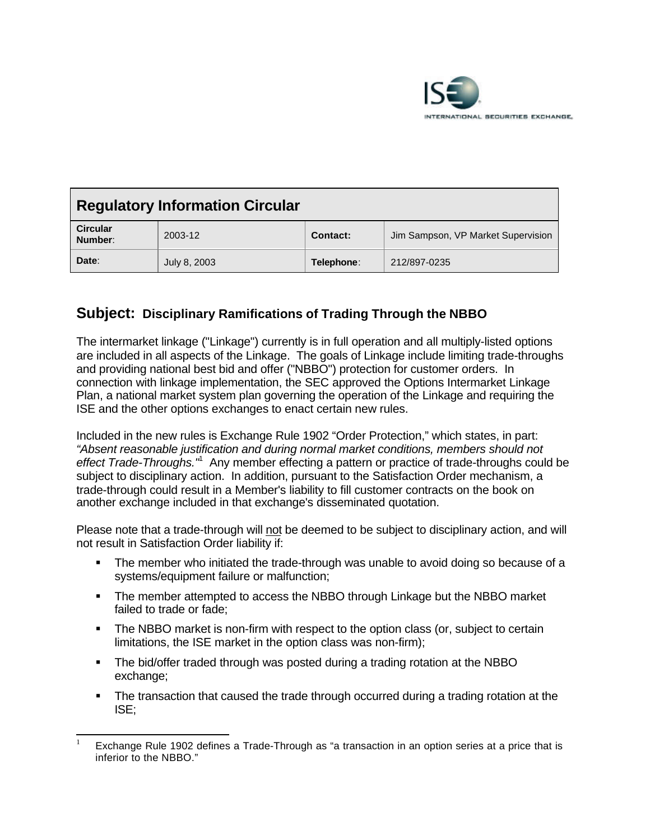

| <b>Regulatory Information Circular</b> |              |            |                                    |
|----------------------------------------|--------------|------------|------------------------------------|
| <b>Circular</b><br>Number:             | 2003-12      | Contact:   | Jim Sampson, VP Market Supervision |
| Date:                                  | July 8, 2003 | Telephone: | 212/897-0235                       |

## **Subject: Disciplinary Ramifications of Trading Through the NBBO**

The intermarket linkage ("Linkage") currently is in full operation and all multiply-listed options are included in all aspects of the Linkage. The goals of Linkage include limiting trade-throughs and providing national best bid and offer ("NBBO") protection for customer orders. In connection with linkage implementation, the SEC approved the Options Intermarket Linkage Plan, a national market system plan governing the operation of the Linkage and requiring the ISE and the other options exchanges to enact certain new rules.

Included in the new rules is Exchange Rule 1902 "Order Protection," which states, in part: *"Absent reasonable justification and during normal market conditions, members should not* effect Trade-Throughs.<sup>"</sup> Any member effecting a pattern or practice of trade-throughs could be subject to disciplinary action. In addition, pursuant to the Satisfaction Order mechanism, a trade-through could result in a Member's liability to fill customer contracts on the book on another exchange included in that exchange's disseminated quotation.

Please note that a trade-through will not be deemed to be subject to disciplinary action, and will not result in Satisfaction Order liability if:

- The member who initiated the trade-through was unable to avoid doing so because of a systems/equipment failure or malfunction;
- The member attempted to access the NBBO through Linkage but the NBBO market failed to trade or fade;
- The NBBO market is non-firm with respect to the option class (or, subject to certain limitations, the ISE market in the option class was non-firm);
- The bid/offer traded through was posted during a trading rotation at the NBBO exchange;

l

• The transaction that caused the trade through occurred during a trading rotation at the ISE;

Exchange Rule 1902 defines a Trade-Through as "a transaction in an option series at a price that is inferior to the NBBO."